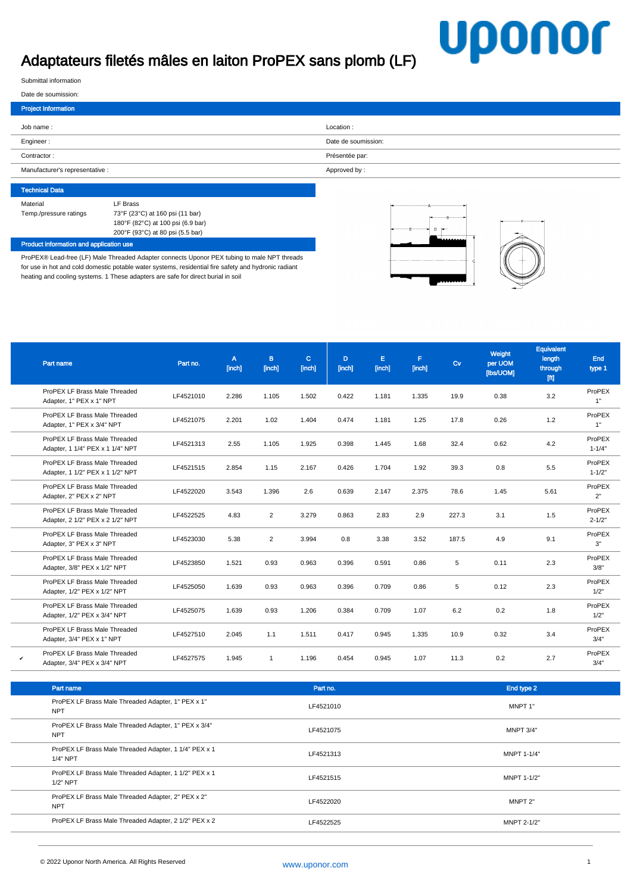## Adaptateurs filetés mâles en laiton ProPEX sans plomb (LF)

## **Uponor**

Submittal information

Technical Data

| Date de soumission:             |                     |
|---------------------------------|---------------------|
| <b>Project Information</b>      |                     |
| Job name:                       | Location:           |
| Engineer:                       | Date de soumission: |
| Contractor:                     | Présentée par:      |
| Manufacturer's representative : | Approved by:        |
|                                 |                     |

| LF Brass                          |
|-----------------------------------|
| 73°F (23°C) at 160 psi (11 bar)   |
| 180°F (82°C) at 100 psi (6.9 bar) |
| 200°F (93°C) at 80 psi (5.5 bar)  |
|                                   |

## Product information and application use

ProPEX® Lead-free (LF) Male Threaded Adapter connects Uponor PEX tubing to male NPT threads for use in hot and cold domestic potable water systems, residential fire safety and hydronic radiant heating and cooling systems. 1 These adapters are safe for direct burial in soil



|   | Part name                                                         | Part no.  | $\mathsf{A}$<br>[inch] | B<br>[inch]    | $\mathbf{C}$<br>[inch] | D<br>[inch] | E.<br>[inch] | F.<br>[inch] | Cv    | Weight<br>per UOM<br>[lbs/UOM] | Equivalent<br>length<br>through<br>[ft] | End<br>type 1        |
|---|-------------------------------------------------------------------|-----------|------------------------|----------------|------------------------|-------------|--------------|--------------|-------|--------------------------------|-----------------------------------------|----------------------|
|   | ProPEX LF Brass Male Threaded<br>Adapter, 1" PEX x 1" NPT         | LF4521010 | 2.286                  | 1.105          | 1.502                  | 0.422       | 1.181        | 1.335        | 19.9  | 0.38                           | 3.2                                     | ProPEX<br>1"         |
|   | ProPEX LF Brass Male Threaded<br>Adapter, 1" PEX x 3/4" NPT       | LF4521075 | 2.201                  | 1.02           | 1.404                  | 0.474       | 1.181        | 1.25         | 17.8  | 0.26                           | 1.2                                     | ProPEX<br>1"         |
|   | ProPEX LF Brass Male Threaded<br>Adapter, 1 1/4" PEX x 1 1/4" NPT | LF4521313 | 2.55                   | 1.105          | 1.925                  | 0.398       | 1.445        | 1.68         | 32.4  | 0.62                           | 4.2                                     | ProPEX<br>$1 - 1/4"$ |
|   | ProPEX LF Brass Male Threaded<br>Adapter, 1 1/2" PEX x 1 1/2" NPT | LF4521515 | 2.854                  | 1.15           | 2.167                  | 0.426       | 1.704        | 1.92         | 39.3  | 0.8                            | 5.5                                     | ProPEX<br>$1 - 1/2"$ |
|   | ProPEX LF Brass Male Threaded<br>Adapter, 2" PEX x 2" NPT         | LF4522020 | 3.543                  | 1.396          | 2.6                    | 0.639       | 2.147        | 2.375        | 78.6  | 1.45                           | 5.61                                    | ProPEX<br>2"         |
|   | ProPEX LF Brass Male Threaded<br>Adapter, 2 1/2" PEX x 2 1/2" NPT | LF4522525 | 4.83                   | $\overline{2}$ | 3.279                  | 0.863       | 2.83         | 2.9          | 227.3 | 3.1                            | 1.5                                     | ProPEX<br>$2 - 1/2"$ |
|   | ProPEX LF Brass Male Threaded<br>Adapter, 3" PEX x 3" NPT         | LF4523030 | 5.38                   | $\overline{2}$ | 3.994                  | 0.8         | 3.38         | 3.52         | 187.5 | 4.9                            | 9.1                                     | ProPEX<br>3"         |
|   | ProPEX LF Brass Male Threaded<br>Adapter, 3/8" PEX x 1/2" NPT     | LF4523850 | 1.521                  | 0.93           | 0.963                  | 0.396       | 0.591        | 0.86         | 5     | 0.11                           | 2.3                                     | ProPEX<br>3/8"       |
|   | ProPEX LF Brass Male Threaded<br>Adapter, 1/2" PEX x 1/2" NPT     | LF4525050 | 1.639                  | 0.93           | 0.963                  | 0.396       | 0.709        | 0.86         | 5     | 0.12                           | 2.3                                     | ProPEX<br>1/2"       |
|   | ProPEX LF Brass Male Threaded<br>Adapter, 1/2" PEX x 3/4" NPT     | LF4525075 | 1.639                  | 0.93           | 1.206                  | 0.384       | 0.709        | 1.07         | 6.2   | 0.2                            | 1.8                                     | ProPEX<br>1/2"       |
|   | ProPEX LF Brass Male Threaded<br>Adapter, 3/4" PEX x 1" NPT       | LF4527510 | 2.045                  | 1.1            | 1.511                  | 0.417       | 0.945        | 1.335        | 10.9  | 0.32                           | 3.4                                     | ProPEX<br>3/4"       |
| v | ProPEX LF Brass Male Threaded<br>Adapter, 3/4" PEX x 3/4" NPT     | LF4527575 | 1.945                  | $\mathbf{1}$   | 1.196                  | 0.454       | 0.945        | 1.07         | 11.3  | 0.2                            | 2.7                                     | ProPEX<br>3/4"       |

| Part name                                                           | Part no.  | End type 2         |
|---------------------------------------------------------------------|-----------|--------------------|
| ProPEX LF Brass Male Threaded Adapter, 1" PEX x 1"<br><b>NPT</b>    | LF4521010 | MNPT 1"            |
| ProPEX LF Brass Male Threaded Adapter, 1" PEX x 3/4"<br><b>NPT</b>  | LF4521075 | <b>MNPT 3/4"</b>   |
| ProPEX LF Brass Male Threaded Adapter, 1 1/4" PEX x 1<br>$1/4"$ NPT | LF4521313 | MNPT 1-1/4"        |
| ProPEX LF Brass Male Threaded Adapter, 1 1/2" PEX x 1<br>$1/2"$ NPT | LF4521515 | <b>MNPT 1-1/2"</b> |
| ProPEX LF Brass Male Threaded Adapter, 2" PEX x 2"<br><b>NPT</b>    | LF4522020 | MNPT <sub>2"</sub> |
| ProPEX LF Brass Male Threaded Adapter, 2 1/2" PEX x 2               | LF4522525 | MNPT 2-1/2"        |
|                                                                     |           |                    |